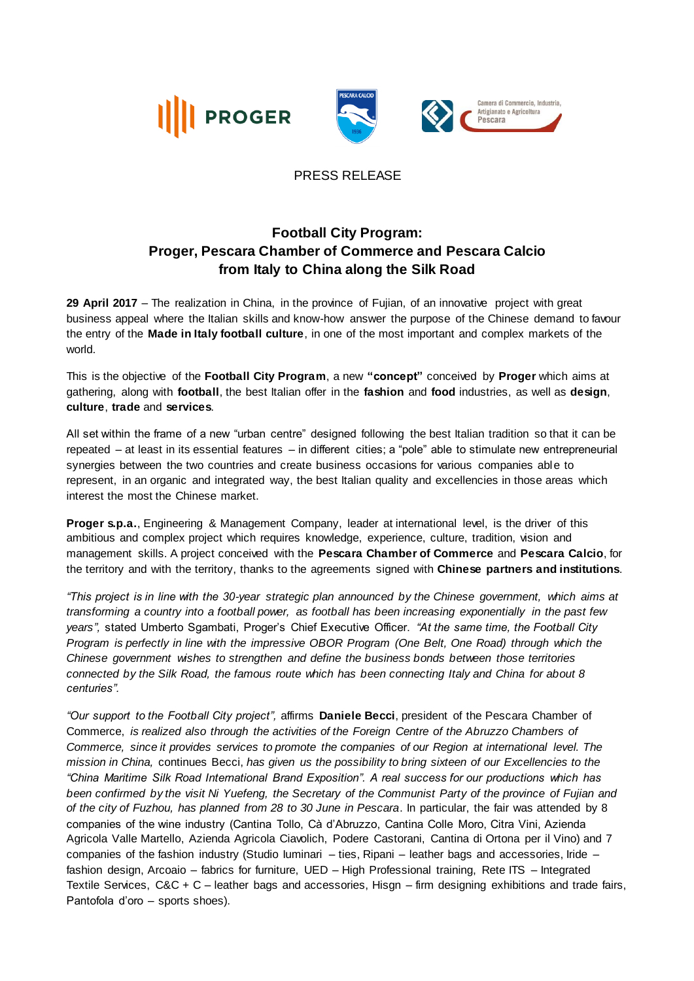





## PRESS RELEASE

## **Football City Program: Proger, Pescara Chamber of Commerce and Pescara Calcio from Italy to China along the Silk Road**

**29 April 2017** – The realization in China, in the province of Fujian, of an innovative project with great business appeal where the Italian skills and know-how answer the purpose of the Chinese demand to favour the entry of the **Made in Italy football culture**, in one of the most important and complex markets of the world.

This is the objective of the **Football City Program**, a new **"concept"** conceived by **Proger** which aims at gathering, along with **football**, the best Italian offer in the **fashion** and **food** industries, as well as **design**, **culture**, **trade** and **services**.

All set within the frame of a new "urban centre" designed following the best Italian tradition so that it can be repeated – at least in its essential features – in different cities; a "pole" able to stimulate new entrepreneurial synergies between the two countries and create business occasions for various companies able to represent, in an organic and integrated way, the best Italian quality and excellencies in those areas which interest the most the Chinese market.

**Proger s.p.a.**, Engineering & Management Company, leader at international level, is the driver of this ambitious and complex project which requires knowledge, experience, culture, tradition, vision and management skills. A project conceived with the **Pescara Chamber of Commerce** and **Pescara Calcio**, for the territory and with the territory, thanks to the agreements signed with **Chinese partners and institutions**.

*"This project is in line with the 30-year strategic plan announced by the Chinese government, which aims at transforming a country into a football power, as football has been increasing exponentially in the past few years",* stated Umberto Sgambati, Proger's Chief Executive Officer. *"At the same time, the Football City Program is perfectly in line with the impressive OBOR Program (One Belt, One Road) through which the Chinese government wishes to strengthen and define the business bonds between those territories connected by the Silk Road, the famous route which has been connecting Italy and China for about 8 centuries".*

*"Our support to the Football City project",* affirms **Daniele Becci**, president of the Pescara Chamber of Commerce, *is realized also through the activities of the Foreign Centre of the Abruzzo Chambers of Commerce, since it provides services to promote the companies of our Region at international level. The mission in China,* continues Becci, *has given us the possibility to bring sixteen of our Excellencies to the "China Maritime Silk Road International Brand Exposition". A real success for our productions which has been confirmed by the visit Ni Yuefeng, the Secretary of the Communist Party of the province of Fujian and of the city of Fuzhou, has planned from 28 to 30 June in Pescara*. In particular, the fair was attended by 8 companies of the wine industry (Cantina Tollo, Cà d'Abruzzo, Cantina Colle Moro, Citra Vini, Azienda Agricola Valle Martello, Azienda Agricola Ciavolich, Podere Castorani, Cantina di Ortona per il Vino) and 7 companies of the fashion industry (Studio Iuminari – ties, Ripani – leather bags and accessories, Iride – fashion design, Arcoaio – fabrics for furniture, UED – High Professional training, Rete ITS – Integrated Textile Services, C&C + C – leather bags and accessories, Hisgn – firm designing exhibitions and trade fairs, Pantofola d'oro – sports shoes).